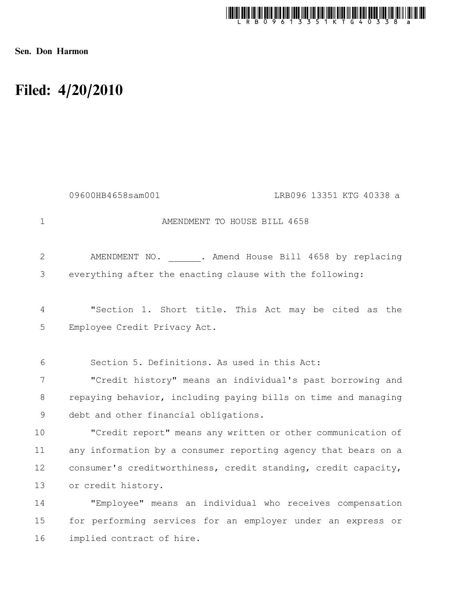

Sen. Don Harmon

## Filed: 4/20/2010

|              | 09600HB4658sam001<br>LRB096 13351 KTG 40338 a                  |
|--------------|----------------------------------------------------------------|
| $\mathbf 1$  | AMENDMENT TO HOUSE BILL 4658                                   |
| $\mathbf{2}$ | AMENDMENT NO. . Amend House Bill 4658 by replacing             |
| 3            | everything after the enacting clause with the following:       |
| 4            | "Section 1. Short title. This Act may be cited as the          |
| 5            | Employee Credit Privacy Act.                                   |
| 6            | Section 5. Definitions. As used in this Act:                   |
| 7            | "Credit history" means an individual's past borrowing and      |
| 8            | repaying behavior, including paying bills on time and managing |
| 9            | debt and other financial obligations.                          |
| 10           | "Credit report" means any written or other communication of    |
| 11           | any information by a consumer reporting agency that bears on a |
| 12           | consumer's creditworthiness, credit standing, credit capacity, |
| 13           | or credit history.                                             |
| 14           | "Employee" means an individual who receives compensation       |
| 15           | for performing services for an employer under an express or    |
| 16           | implied contract of hire.                                      |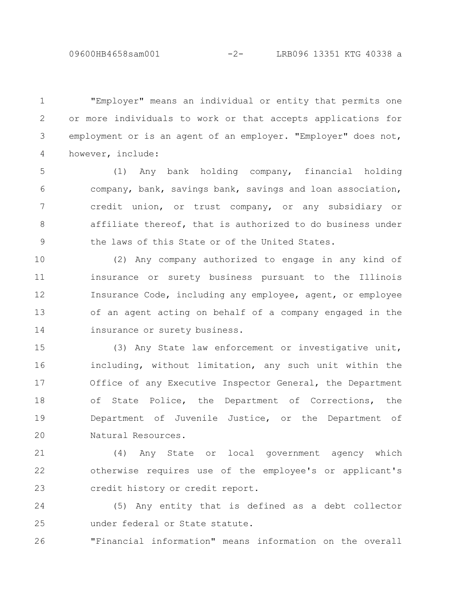"Employer" means an individual or entity that permits one or more individuals to work or that accepts applications for employment or is an agent of an employer. "Employer" does not, however, include: 1 2 3 4

(1) Any bank holding company, financial holding company, bank, savings bank, savings and loan association, credit union, or trust company, or any subsidiary or affiliate thereof, that is authorized to do business under the laws of this State or of the United States. 5 6 7 8 9

(2) Any company authorized to engage in any kind of insurance or surety business pursuant to the Illinois Insurance Code, including any employee, agent, or employee of an agent acting on behalf of a company engaged in the insurance or surety business. 10 11 12 13 14

(3) Any State law enforcement or investigative unit, including, without limitation, any such unit within the Office of any Executive Inspector General, the Department of State Police, the Department of Corrections, the Department of Juvenile Justice, or the Department of Natural Resources. 15 16 17 18 19 20

(4) Any State or local government agency which otherwise requires use of the employee's or applicant's credit history or credit report. 21 22 23

(5) Any entity that is defined as a debt collector under federal or State statute. 24 25

"Financial information" means information on the overall 26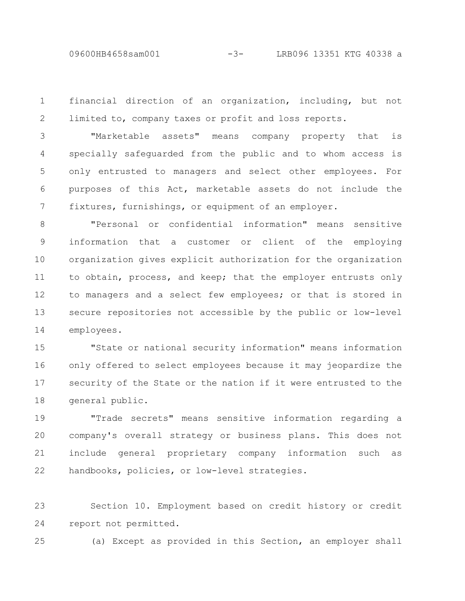09600HB4658sam001 -3- LRB096 13351 KTG 40338 a

financial direction of an organization, including, but not limited to, company taxes or profit and loss reports. 1 2

"Marketable assets" means company property that is specially safeguarded from the public and to whom access is only entrusted to managers and select other employees. For purposes of this Act, marketable assets do not include the fixtures, furnishings, or equipment of an employer. 3 4 5 6 7

"Personal or confidential information" means sensitive information that a customer or client of the employing organization gives explicit authorization for the organization to obtain, process, and keep; that the employer entrusts only to managers and a select few employees; or that is stored in secure repositories not accessible by the public or low-level employees. 8 9 10 11 12 13 14

"State or national security information" means information only offered to select employees because it may jeopardize the security of the State or the nation if it were entrusted to the general public. 15 16 17 18

"Trade secrets" means sensitive information regarding a company's overall strategy or business plans. This does not include general proprietary company information such as handbooks, policies, or low-level strategies. 19 20 21 22

Section 10. Employment based on credit history or credit report not permitted. 23 24

(a) Except as provided in this Section, an employer shall 25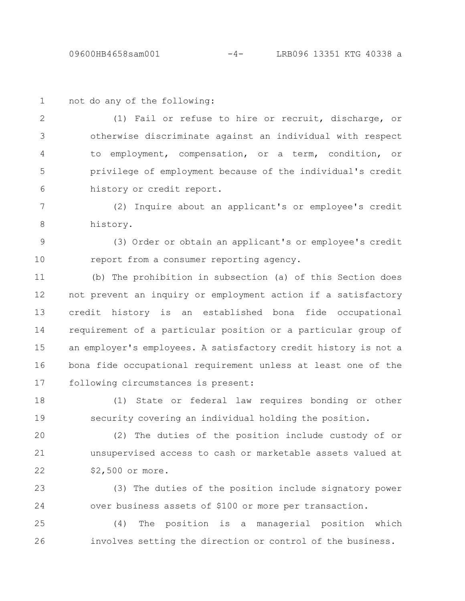1

not do any of the following:

(1) Fail or refuse to hire or recruit, discharge, or otherwise discriminate against an individual with respect to employment, compensation, or a term, condition, or privilege of employment because of the individual's credit history or credit report. 2 3 4 5 6

(2) Inquire about an applicant's or employee's credit history. 7 8

(3) Order or obtain an applicant's or employee's credit report from a consumer reporting agency. 9 10

(b) The prohibition in subsection (a) of this Section does not prevent an inquiry or employment action if a satisfactory credit history is an established bona fide occupational requirement of a particular position or a particular group of an employer's employees. A satisfactory credit history is not a bona fide occupational requirement unless at least one of the following circumstances is present: 11 12 13 14 15 16 17

(1) State or federal law requires bonding or other security covering an individual holding the position. 18 19

(2) The duties of the position include custody of or unsupervised access to cash or marketable assets valued at \$2,500 or more. 20 21 22

(3) The duties of the position include signatory power over business assets of \$100 or more per transaction. 23 24

(4) The position is a managerial position which involves setting the direction or control of the business. 25 26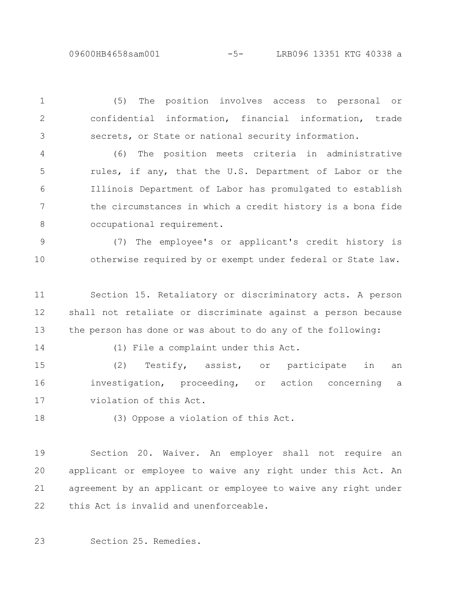09600HB4658sam001 -5- LRB096 13351 KTG 40338 a

(5) The position involves access to personal or confidential information, financial information, trade secrets, or State or national security information. 1 2 3

(6) The position meets criteria in administrative rules, if any, that the U.S. Department of Labor or the Illinois Department of Labor has promulgated to establish the circumstances in which a credit history is a bona fide occupational requirement. 4 5 6 7 8

(7) The employee's or applicant's credit history is otherwise required by or exempt under federal or State law. 9 10

Section 15. Retaliatory or discriminatory acts. A person shall not retaliate or discriminate against a person because the person has done or was about to do any of the following: 11 12 13

14

(1) File a complaint under this Act.

(2) Testify, assist, or participate in an investigation, proceeding, or action concerning a violation of this Act. 15 16 17

18

(3) Oppose a violation of this Act.

Section 20. Waiver. An employer shall not require an applicant or employee to waive any right under this Act. An agreement by an applicant or employee to waive any right under this Act is invalid and unenforceable. 19 20 21 22

Section 25. Remedies. 23